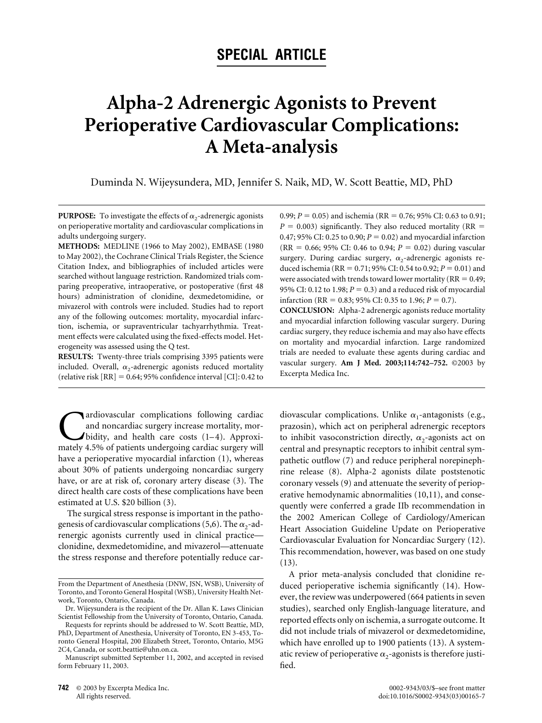# **SPECIAL ARTICLE**

# **Alpha-2 Adrenergic Agonists to Prevent Perioperative Cardiovascular Complications: A Meta-analysis**

Duminda N. Wijeysundera, MD, Jennifer S. Naik, MD, W. Scott Beattie, MD, PhD

**PURPOSE:** To investigate the effects of  $\alpha_2$ -adrenergic agonists on perioperative mortality and cardiovascular complications in adults undergoing surgery.

**METHODS:** MEDLINE (1966 to May 2002), EMBASE (1980 to May 2002), the Cochrane Clinical Trials Register, the Science Citation Index, and bibliographies of included articles were searched without language restriction. Randomized trials comparing preoperative, intraoperative, or postoperative (first 48 hours) administration of clonidine, dexmedetomidine, or mivazerol with controls were included. Studies had to report any of the following outcomes: mortality, myocardial infarction, ischemia, or supraventricular tachyarrhythmia. Treatment effects were calculated using the fixed-effects model. Heterogeneity was assessed using the Q test.

**RESULTS:** Twenty-three trials comprising 3395 patients were included. Overall,  $\alpha_2$ -adrenergic agonists reduced mortality (relative risk  $[RR] = 0.64$ ; 95% confidence interval  $[CI]$ : 0.42 to

**C**ardiovascular complications following cardiac and noncardiac surgery increase mortality, mor-<br>bidity, and health care costs (1–4). Approximately 4.5% of patients undergoing cardiac surgery will and noncardiac surgery increase mortality, morbidity, and health care costs  $(1-4)$ . Approximately 4.5% of patients undergoing cardiac surgery will have a perioperative myocardial infarction [\(1\),](#page-9-0) whereas about 30% of patients undergoing noncardiac surgery have, or are at risk of, coronary artery disease [\(3\).](#page-9-0) The direct health care costs of these complications have been estimated at U.S. \$20 billion [\(3\).](#page-9-0)

The surgical stress response is important in the patho-genesis of cardiovascular complications [\(5,6\).](#page-9-0) The  $\alpha_2$ -adrenergic agonists currently used in clinical practice clonidine, dexmedetomidine, and mivazerol—attenuate the stress response and therefore potentially reduce car0.99;  $P = 0.05$ ) and ischemia (RR = 0.76; 95% CI: 0.63 to 0.91;  $P = 0.003$ ) significantly. They also reduced mortality (RR = 0.47; 95% CI: 0.25 to 0.90;  $P = 0.02$ ) and myocardial infarction (RR = 0.66; 95% CI: 0.46 to 0.94;  $P = 0.02$ ) during vascular surgery. During cardiac surgery,  $\alpha_2$ -adrenergic agonists reduced ischemia (RR =  $0.71$ ; 95% CI: 0.54 to 0.92;  $P = 0.01$ ) and were associated with trends toward lower mortality ( $RR = 0.49$ ; 95% CI: 0.12 to 1.98;  $P = 0.3$ ) and a reduced risk of myocardial infarction (RR = 0.83; 95% CI: 0.35 to 1.96;  $P = 0.7$ ).

**CONCLUSION:** Alpha-2 adrenergic agonists reduce mortality and myocardial infarction following vascular surgery. During cardiac surgery, they reduce ischemia and may also have effects on mortality and myocardial infarction. Large randomized trials are needed to evaluate these agents during cardiac and vascular surgery. **Am J Med. 2003;114:742–752.** ©2003 by Excerpta Medica Inc.

diovascular complications. Unlike  $\alpha_1$ -antagonists (e.g., prazosin), which act on peripheral adrenergic receptors to inhibit vasoconstriction directly,  $\alpha_2$ -agonists act on central and presynaptic receptors to inhibit central sympathetic outflow [\(7\)](#page-9-0) and reduce peripheral norepinephrine release [\(8\).](#page-9-0) Alpha-2 agonists dilate poststenotic coronary vessels [\(9\)](#page-9-0) and attenuate the severity of perioperative hemodynamic abnormalities [\(10,11\),](#page-9-0) and consequently were conferred a grade IIb recommendation in the 2002 American College of Cardiology/American Heart Association Guideline Update on Perioperative Cardiovascular Evaluation for Noncardiac Surgery [\(12\).](#page-9-0) This recommendation, however, was based on one study [\(13\).](#page-9-0)

A prior meta-analysis concluded that clonidine reduced perioperative ischemia significantly [\(14\).](#page-9-0) However, the review was underpowered (664 patients in seven studies), searched only English-language literature, and reported effects only on ischemia, a surrogate outcome. It did not include trials of mivazerol or dexmedetomidine, which have enrolled up to 1900 patients [\(13\).](#page-9-0) A systematic review of perioperative  $\alpha_2$ -agonists is therefore justified.

From the Department of Anesthesia (DNW, JSN, WSB), University of Toronto, and Toronto General Hospital (WSB), University Health Network, Toronto, Ontario, Canada.

Dr. Wijeysundera is the recipient of the Dr. Allan K. Laws Clinician Scientist Fellowship from the University of Toronto, Ontario, Canada.

Requests for reprints should be addressed to W. Scott Beattie, MD, PhD, Department of Anesthesia, University of Toronto, EN 3-453, Toronto General Hospital, 200 Elizabeth Street, Toronto, Ontario, M5G 2C4, Canada, or scott.beattie@uhn.on.ca.

Manuscript submitted September 11, 2002, and accepted in revised form February 11, 2003.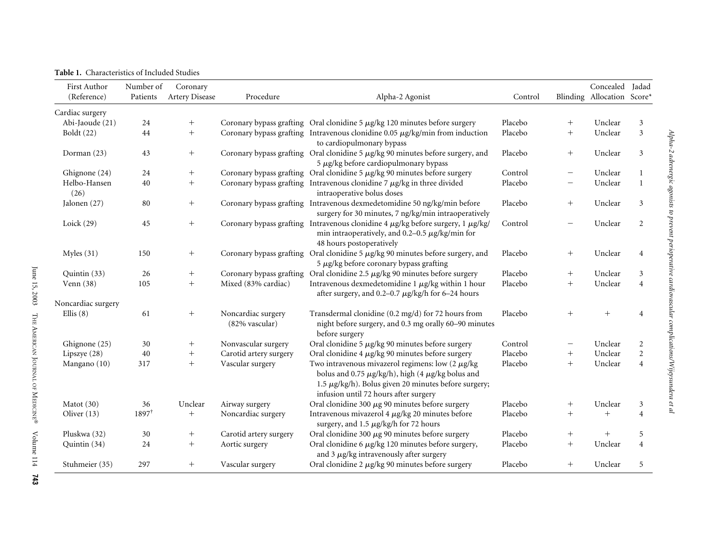<span id="page-1-0"></span>

|  | <b>Table 1.</b> Characteristics of Included Studies |  |  |
|--|-----------------------------------------------------|--|--|
|--|-----------------------------------------------------|--|--|

| <b>First Author</b>  | Number of        | Coronary          |                                      |                                                                                                                                                                                                                              |         |                          | Concealed Jadad            |                |
|----------------------|------------------|-------------------|--------------------------------------|------------------------------------------------------------------------------------------------------------------------------------------------------------------------------------------------------------------------------|---------|--------------------------|----------------------------|----------------|
| (Reference)          | Patients         | Artery Disease    | Procedure                            | Alpha-2 Agonist                                                                                                                                                                                                              | Control |                          | Blinding Allocation Score* |                |
| Cardiac surgery      |                  |                   |                                      |                                                                                                                                                                                                                              |         |                          |                            |                |
| Abi-Jaoude (21)      | 24               |                   |                                      | Coronary bypass grafting Oral clonidine $5 \mu g/kg$ 120 minutes before surgery                                                                                                                                              | Placebo | $^{+}$                   | Unclear                    | 3              |
| Boldt $(22)$         | 44               | $\boldsymbol{+}$  |                                      | Coronary bypass grafting Intravenous clonidine $0.05 \ \mu g/kg/min$ from induction<br>to cardiopulmonary bypass                                                                                                             | Placebo | $+$                      | Unclear                    | $\overline{3}$ |
| Dorman (23)          | 43               | $^{+}$            |                                      | Coronary bypass grafting Oral clonidine 5 µg/kg 90 minutes before surgery, and<br>$5 \mu g/kg$ before cardiopulmonary bypass                                                                                                 | Placebo | $^{+}$                   | Unclear                    | 3              |
| Ghignone (24)        | 24               | $^{+}$            |                                      | Coronary bypass grafting Oral clonidine $5 \mu g/kg$ 90 minutes before surgery                                                                                                                                               | Control | $\overline{\phantom{m}}$ | Unclear                    | 1              |
| Helbo-Hansen<br>(26) | 40               | $^{+}$            |                                      | Coronary bypass grafting Intravenous clonidine $7 \mu g/kg$ in three divided<br>intraoperative bolus doses                                                                                                                   | Placebo | $\qquad \qquad -$        | Unclear                    | 1              |
| Jalonen (27)         | 80               | $^{+}$            |                                      | Coronary bypass grafting Intravenous dexmedetomidine 50 ng/kg/min before<br>surgery for 30 minutes, 7 ng/kg/min intraoperatively                                                                                             | Placebo | $+$                      | Unclear                    | 3              |
| Loick $(29)$         | 45               | $^{+}$            |                                      | Coronary bypass grafting Intravenous clonidine 4 µg/kg before surgery, 1 µg/kg/<br>min intraoperatively, and 0.2-0.5 $\mu$ g/kg/min for<br>48 hours postoperatively                                                          | Control |                          | Unclear                    | 2              |
| Myles $(31)$         | 150              | $^{+}$            |                                      | Coronary bypass grafting Oral clonidine 5 µg/kg 90 minutes before surgery, and<br>$5 \mu g/kg$ before coronary bypass grafting                                                                                               | Placebo | $^{+}$                   | Unclear                    | $\overline{4}$ |
| Quintin (33)         | 26               | $^{+}$            |                                      | Coronary bypass grafting Oral clonidine 2.5 $\mu$ g/kg 90 minutes before surgery                                                                                                                                             | Placebo | $\! + \!\!\!\!$          | Unclear                    | 3              |
| Venn $(38)$          | 105              | $^{+}$            | Mixed (83% cardiac)                  | Intravenous dexmedetomidine 1 $\mu$ g/kg within 1 hour<br>after surgery, and 0.2-0.7 $\mu$ g/kg/h for 6-24 hours                                                                                                             | Placebo | $+$                      | Unclear                    | $\overline{4}$ |
| Noncardiac surgery   |                  |                   |                                      |                                                                                                                                                                                                                              |         |                          |                            |                |
| Ellis $(8)$          | 61               | $^{+}$            | Noncardiac surgery<br>(82% vascular) | Transdermal clonidine (0.2 mg/d) for 72 hours from<br>night before surgery, and 0.3 mg orally 60-90 minutes<br>before surgery                                                                                                | Placebo | $^{+}$                   | $+$                        | 4              |
| Ghignone (25)        | 30               |                   | Nonvascular surgery                  | Oral clonidine 5 µg/kg 90 minutes before surgery                                                                                                                                                                             | Control | —                        | Unclear                    | $\overline{c}$ |
| Lipszye (28)         | 40               | $\qquad \qquad +$ | Carotid artery surgery               | Oral clonidine $4 \mu g/kg$ 90 minutes before surgery                                                                                                                                                                        | Placebo | $\! + \!\!\!\!$          | Unclear                    | $\overline{2}$ |
| Mangano (10)         | 317              | $^{+}$            | Vascular surgery                     | Two intravenous mivazerol regimens: low $(2 \ \mu g/kg)$<br>bolus and 0.75 $\mu$ g/kg/h), high (4 $\mu$ g/kg bolus and<br>1.5 $\mu$ g/kg/h). Bolus given 20 minutes before surgery;<br>infusion until 72 hours after surgery | Placebo | $^{+}$                   | Unclear                    | $\overline{4}$ |
| Matot $(30)$         | 36               | Unclear           | Airway surgery                       | Oral clonidine 300 $\mu$ g 90 minutes before surgery                                                                                                                                                                         | Placebo | $^{+}$                   | Unclear                    | 3              |
| Oliver (13)          | $1897^{\dagger}$ | $\boldsymbol{+}$  | Noncardiac surgery                   | Intravenous mivazerol 4 $\mu$ g/kg 20 minutes before<br>surgery, and 1.5 µg/kg/h for 72 hours                                                                                                                                | Placebo |                          | $^{+}$                     | $\overline{4}$ |
| Pluskwa (32)         | 30               | $^{+}$            | Carotid artery surgery               | Oral clonidine 300 $\mu$ g 90 minutes before surgery                                                                                                                                                                         | Placebo | $^{+}$                   | $+$                        | 5              |
| Quintin (34)         | 24               | $^{+}$            | Aortic surgery                       | Oral clonidine 6 µg/kg 120 minutes before surgery,<br>and $3 \mu$ g/kg intravenously after surgery                                                                                                                           | Placebo | $\! + \!\!\!\!$          | Unclear                    | $\overline{4}$ |
| Stuhmeier (35)       | 297              | $^{+}$            | Vascular surgery                     | Oral clonidine $2 \mu g/kg$ 90 minutes before surgery                                                                                                                                                                        | Placebo | $^{+}$                   | Unclear                    | 5              |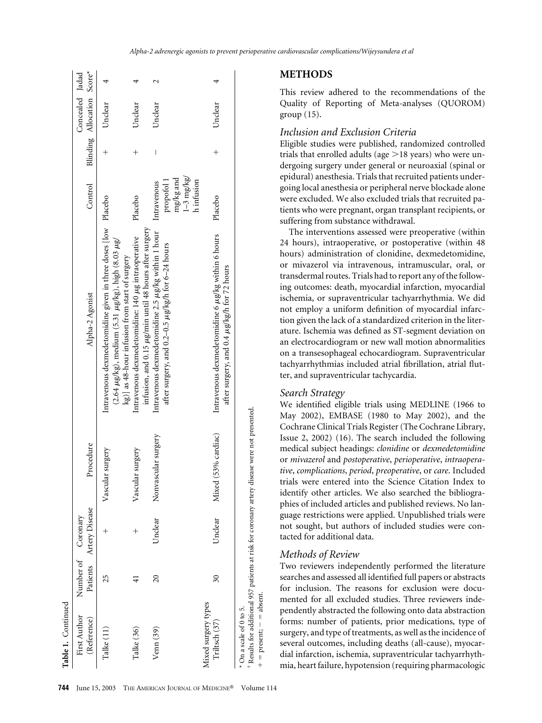| Table 1. Continued                                      |                          |                                               |                                                                                             |                                                                                                                                                                                                |                                                                        |                    |                                               |  |
|---------------------------------------------------------|--------------------------|-----------------------------------------------|---------------------------------------------------------------------------------------------|------------------------------------------------------------------------------------------------------------------------------------------------------------------------------------------------|------------------------------------------------------------------------|--------------------|-----------------------------------------------|--|
| First Author<br>(Reference)                             |                          | Patients Artery Disease<br>Number of Coronary | Procedure                                                                                   | Alpha-2 Agonist                                                                                                                                                                                | Control                                                                |                    | Blinding Allocation Score*<br>Concealed Jadad |  |
| Talke (11)                                              | 25                       | $^+$                                          | Vascular surgery                                                                            | Intravenous dexmedetomidine given in three doses [low Placebo<br>$(2.64 \ \mu g/kg)$ , medium $(5.31 \ \mu g/kg)$ , high $(8.03 \ \mu g/kg)$<br>kg)] as 48-hour infusion from start of surgery |                                                                        | $^{+}$             | Unclear                                       |  |
| Talke (36)                                              |                          |                                               | Vascular surgery                                                                            | infusion, and 0.15 µg/min until 48 hours after surgery<br>Intravenous dexmedetomidine: 140 µg intraoperative                                                                                   | Placebo                                                                | $\hspace{0.1mm} +$ | Unclear                                       |  |
| Venn(39)                                                | $\overline{c}$           | Unclear                                       | Nonvascular surgery                                                                         | Intravenous dexmedetomidine 2.5 µg/kg within 1 hour<br>after surgery, and 0.2-0.5 µg/kg/h for 6-24 hours                                                                                       | $1 - 3$ mg/kg/<br>mg/kg and<br>h infusion<br>propofol 1<br>Intravenous | I                  | Unclear                                       |  |
| Mixed surgery types<br>Triltsch (37)                    | $\overline{\mathcal{E}}$ | Unclear                                       | 53% cardiac)<br>Mixed                                                                       | Intravenous dexmedetomidine 6 µg/kg within 6 hours<br>after surgery, and 0.4 µg/kg/h for 72 hours                                                                                              | Placebo                                                                | $^+$               | Unclear                                       |  |
| $+$ = present; $-$ = absent.<br>* On a scale of 0 to 5. |                          |                                               | Results for additional 957 patients at risk for coronary artery disease were not presented. |                                                                                                                                                                                                |                                                                        |                    |                                               |  |

#### **METHODS**

This review adhered to the recommendations of the Quality of Reporting of Meta-analyses (QUOROM) group [\(15\).](#page-9-0)

#### *Inclusion and Exclusion Criteria*

Eligible studies were published, randomized controlled trials that enrolled adults (age  $>$ 18 years) who were undergoing surgery under general or neuroaxial (spinal or epidural) anesthesia. Trials that recruited patients undergoing local anesthesia or peripheral nerve blockade alone were excluded. We also excluded trials that recruited patients who were pregnant, organ transplant recipients, or suffering from substance withdrawal.

The interventions assessed were preoperative (within 24 hours), intraoperative, or postoperative (within 48 hours) administration of clonidine, dexmedetomidine, or mivazerol via intravenous, intramuscular, oral, or transdermal routes. Trials had to report any of the following outcomes: death, myocardial infarction, myocardial ischemia, or supraventricular tachyarrhythmia. We did not employ a uniform definition of myocardial infarction given the lack of a standardized criterion in the literature. Ischemia was defined as ST-segment deviation on an electrocardiogram or new wall motion abnormalities on a transesophageal echocardiogram. Supraventricular tachyarrhythmias included atrial fibrillation, atrial flutter, and supraventricular tachycardia.

## *Search Strategy*

We identified eligible trials using MEDLINE (1966 to May 2002), EMBASE (1980 to May 2002), and the Cochrane Clinical Trials Register (The Cochrane Library, Issue 2, 2002) [\(16\).](#page-9-0) The search included the following medical subject headings: *clonidine* or *dexmedetomidine* or *mivazerol* and *postoperative*, *perioperative*, *intraoperative*, *complications*, *period*, *preoperative*, or *care*. Included trials were entered into the Science Citation Index to identify other articles. We also searched the bibliographies of included articles and published reviews. No language restrictions were applied. Unpublished trials were not sought, but authors of included studies were contacted for additional data.

#### *Methods of Review*

Two reviewers independently performed the literature searches and assessed all identified full papers or abstracts for inclusion. The reasons for exclusion were documented for all excluded studies. Three reviewers independently abstracted the following onto data abstraction forms: number of patients, prior medications, type of surgery, and type of treatments, as well as the incidence of several outcomes, including deaths (all-cause), myocardial infarction, ischemia, supraventricular tachyarrhythmia, heart failure, hypotension (requiring pharmacologic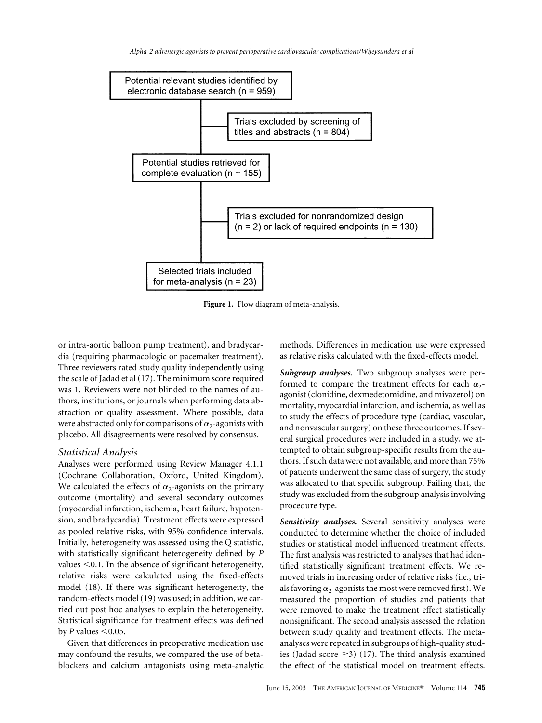<span id="page-3-0"></span>

**Figure 1.** Flow diagram of meta-analysis.

or intra-aortic balloon pump treatment), and bradycardia (requiring pharmacologic or pacemaker treatment). Three reviewers rated study quality independently using the scale of Jadad et al [\(17\).](#page-9-0) The minimum score required was 1. Reviewers were not blinded to the names of authors, institutions, or journals when performing data abstraction or quality assessment. Where possible, data were abstracted only for comparisons of  $\alpha_2$ -agonists with placebo. All disagreements were resolved by consensus.

#### *Statistical Analysis*

Analyses were performed using Review Manager 4.1.1 (Cochrane Collaboration, Oxford, United Kingdom). We calculated the effects of  $\alpha_2$ -agonists on the primary outcome (mortality) and several secondary outcomes (myocardial infarction, ischemia, heart failure, hypotension, and bradycardia). Treatment effects were expressed as pooled relative risks, with 95% confidence intervals. Initially, heterogeneity was assessed using the Q statistic, with statistically significant heterogeneity defined by *P* values  $<$  0.1. In the absence of significant heterogeneity, relative risks were calculated using the fixed-effects model [\(18\).](#page-9-0) If there was significant heterogeneity, the random-effects model [\(19\)](#page-9-0) was used; in addition, we carried out post hoc analyses to explain the heterogeneity. Statistical significance for treatment effects was defined by  $P$  values  $\leq 0.05$ .

Given that differences in preoperative medication use may confound the results, we compared the use of betablockers and calcium antagonists using meta-analytic

methods. Differences in medication use were expressed as relative risks calculated with the fixed-effects model.

*Subgroup analyses.* Two subgroup analyses were performed to compare the treatment effects for each  $\alpha$ agonist (clonidine, dexmedetomidine, and mivazerol) on mortality, myocardial infarction, and ischemia, as well as to study the effects of procedure type (cardiac, vascular, and nonvascular surgery) on these three outcomes. If several surgical procedures were included in a study, we attempted to obtain subgroup-specific results from the authors. If such data were not available, and more than 75% of patients underwent the same class of surgery, the study was allocated to that specific subgroup. Failing that, the study was excluded from the subgroup analysis involving procedure type.

*Sensitivity analyses.* Several sensitivity analyses were conducted to determine whether the choice of included studies or statistical model influenced treatment effects. The first analysis was restricted to analyses that had identified statistically significant treatment effects. We removed trials in increasing order of relative risks (i.e., trials favoring  $\alpha_2$ -agonists the most were removed first). We measured the proportion of studies and patients that were removed to make the treatment effect statistically nonsignificant. The second analysis assessed the relation between study quality and treatment effects. The metaanalyses were repeated in subgroups of high-quality studies (Jadad score  $\geq$ 3) [\(17\).](#page-9-0) The third analysis examined the effect of the statistical model on treatment effects.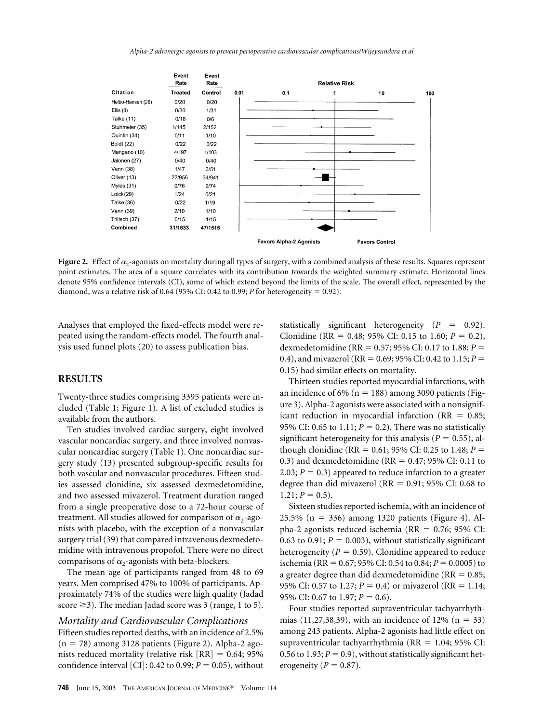

**Figure 2.** Effect of  $\alpha_2$ -agonists on mortality during all types of surgery, with a combined analysis of these results. Squares represent point estimates. The area of a square correlates with its contribution towards the weighted summary estimate. Horizontal lines denote 95% confidence intervals (CI), some of which extend beyond the limits of the scale. The overall effect, represented by the diamond, was a relative risk of 0.64 (95% CI: 0.42 to 0.99; *P* for heterogeneity = 0.92).

Analyses that employed the fixed-effects model were repeated using the random-effects model. The fourth analysis used funnel plots [\(20\)](#page-9-0) to assess publication bias.

# **RESULTS**

Twenty-three studies comprising 3395 patients were included [\(Table 1;](#page-1-0) [Figure 1\)](#page-3-0). A list of excluded studies is available from the authors.

Ten studies involved cardiac surgery, eight involved vascular noncardiac surgery, and three involved nonvascular noncardiac surgery [\(Table 1\)](#page-1-0). One noncardiac surgery study [\(13\)](#page-9-0) presented subgroup-specific results for both vascular and nonvascular procedures. Fifteen studies assessed clonidine, six assessed dexmedetomidine, and two assessed mivazerol. Treatment duration ranged from a single preoperative dose to a 72-hour course of treatment. All studies allowed for comparison of  $\alpha_2$ -agonists with placebo, with the exception of a nonvascular surgery trial [\(39\)](#page-10-0) that compared intravenous dexmedetomidine with intravenous propofol. There were no direct comparisons of  $\alpha_2$ -agonists with beta-blockers.

The mean age of participants ranged from 48 to 69 years. Men comprised 47% to 100% of participants. Approximately 74% of the studies were high quality (Jadad score  $\geq$ 3). The median Jadad score was 3 (range, 1 to 5).

# *Mortality and Cardiovascular Complications* Fifteen studies reported deaths, with an incidence of 2.5%  $(n = 78)$  among 3128 patients (Figure 2). Alpha-2 agonists reduced mortality (relative risk  $[RR] = 0.64; 95\%$ confidence interval [CI]: 0.42 to 0.99;  $P = 0.05$ ), without

statistically significant heterogeneity  $(P = 0.92)$ . Clonidine (RR = 0.48; 95% CI: 0.15 to 1.60;  $P = 0.2$ ), dexmedetomidine (RR =  $0.57$ ; 95% CI: 0.17 to 1.88;  $P =$ 0.4), and mivazerol (RR = 0.69; 95% CI: 0.42 to 1.15;  $P =$ 0.15) had similar effects on mortality.

Thirteen studies reported myocardial infarctions, with an incidence of 6% ( $n = 188$ ) among 3090 patients [\(Fig](#page-5-0)[ure 3\)](#page-5-0). Alpha-2 agonists were associated with a nonsignificant reduction in myocardial infarction ( $RR = 0.85$ ; 95% CI: 0.65 to 1.11;  $P = 0.2$ ). There was no statistically significant heterogeneity for this analysis ( $P = 0.55$ ), although clonidine (RR =  $0.61$ ; 95% CI: 0.25 to 1.48; *P* = 0.3) and dexmedetomidine (RR =  $0.47$ ; 95% CI: 0.11 to 2.03;  $P = 0.3$ ) appeared to reduce infarction to a greater degree than did mivazerol ( $RR = 0.91$ ; 95% CI: 0.68 to  $1.21; P = 0.5$ .

Sixteen studies reported ischemia, with an incidence of  $25.5\%$  (n = 336) among 1320 patients [\(Figure 4\)](#page-5-0). Alpha-2 agonists reduced ischemia ( $RR = 0.76$ ; 95% CI: 0.63 to 0.91;  $P = 0.003$ ), without statistically significant heterogeneity  $(P = 0.59)$ . Clonidine appeared to reduce ischemia (RR =  $0.67$ ; 95% CI: 0.54 to 0.84;  $P = 0.0005$ ) to a greater degree than did dexmedetomidine ( $RR = 0.85$ ; 95% CI: 0.57 to 1.27;  $P = 0.4$ ) or mivazerol (RR = 1.14; 95% CI: 0.67 to 1.97;  $P = 0.6$ ).

Four studies reported supraventricular tachyarrhyth-mias [\(11,27,38,39\),](#page-9-0) with an incidence of 12% ( $n = 33$ ) among 243 patients. Alpha-2 agonists had little effect on supraventricular tachyarrhythmia ( $RR = 1.04$ ; 95% CI: 0.56 to 1.93;  $P = 0.9$ ), without statistically significant heterogeneity ( $P = 0.87$ ).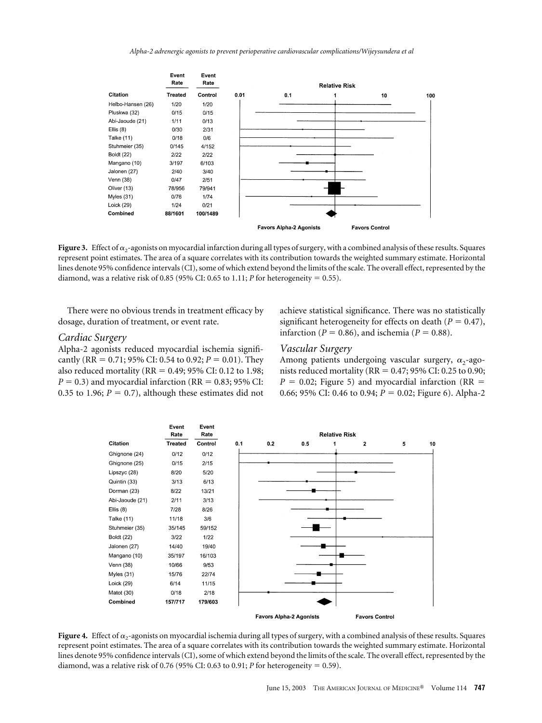<span id="page-5-0"></span>

**Figure 3.** Effect of  $\alpha_2$ -agonists on myocardial infarction during all types of surgery, with a combined analysis of these results. Squares represent point estimates. The area of a square correlates with its contribution towards the weighted summary estimate. Horizontal lines denote 95% confidence intervals (CI), some of which extend beyond the limits of the scale. The overall effect, represented by the diamond, was a relative risk of 0.85 (95% CI: 0.65 to 1.11; *P* for heterogeneity = 0.55).

There were no obvious trends in treatment efficacy by dosage, duration of treatment, or event rate.

#### *Cardiac Surgery*

Alpha-2 agonists reduced myocardial ischemia significantly (RR = 0.71; 95% CI: 0.54 to 0.92;  $P = 0.01$ ). They also reduced mortality (RR =  $0.49$ ; 95% CI: 0.12 to 1.98;  $P = 0.3$ ) and myocardial infarction (RR =  $0.83$ ; 95% CI: 0.35 to 1.96;  $P = 0.7$ ), although these estimates did not achieve statistical significance. There was no statistically significant heterogeneity for effects on death  $(P = 0.47)$ , infarction ( $P = 0.86$ ), and ischemia ( $P = 0.88$ ).

#### *Vascular Surgery*

Among patients undergoing vascular surgery,  $\alpha_2$ -agonists reduced mortality ( $RR = 0.47; 95\%$  CI: 0.25 to 0.90;  $P = 0.02$ ; [Figure 5\)](#page-6-0) and myocardial infarction (RR = 0.66; 95% CI: 0.46 to 0.94;  $P = 0.02$ ; [Figure 6\)](#page-6-0). Alpha-2



**Figure 4.** Effect of  $\alpha_2$ -agonists on myocardial ischemia during all types of surgery, with a combined analysis of these results. Squares represent point estimates. The area of a square correlates with its contribution towards the weighted summary estimate. Horizontal lines denote 95% confidence intervals (CI), some of which extend beyond the limits of the scale. The overall effect, represented by the diamond, was a relative risk of 0.76 (95% CI: 0.63 to 0.91; *P* for heterogeneity = 0.59).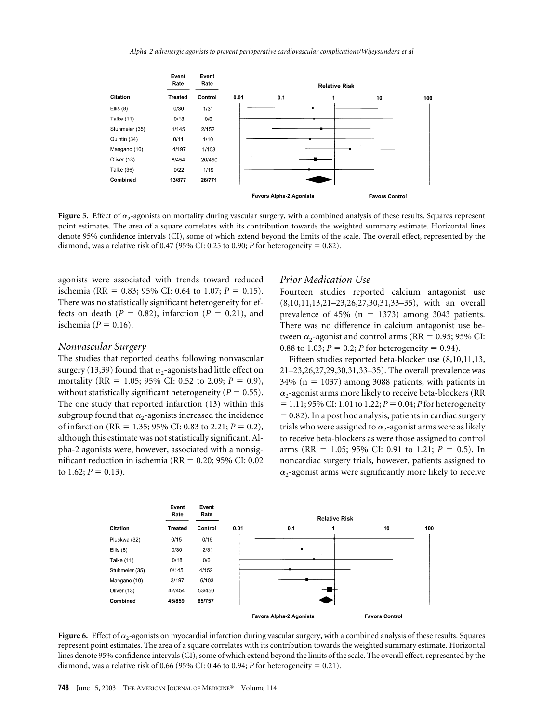<span id="page-6-0"></span>

**Figure 5.** Effect of  $\alpha_2$ -agonists on mortality during vascular surgery, with a combined analysis of these results. Squares represent point estimates. The area of a square correlates with its contribution towards the weighted summary estimate. Horizontal lines denote 95% confidence intervals (CI), some of which extend beyond the limits of the scale. The overall effect, represented by the diamond, was a relative risk of 0.47 (95% CI: 0.25 to 0.90; *P* for heterogeneity = 0.82).

agonists were associated with trends toward reduced ischemia (RR = 0.83; 95% CI: 0.64 to 1.07;  $P = 0.15$ ). There was no statistically significant heterogeneity for effects on death  $(P = 0.82)$ , infarction  $(P = 0.21)$ , and ischemia ( $P = 0.16$ ).

#### *Nonvascular Surgery*

The studies that reported deaths following nonvascular surgery [\(13,39\)](#page-9-0) found that  $\alpha_2$ -agonists had little effect on mortality (RR = 1.05; 95% CI: 0.52 to 2.09;  $P = 0.9$ ), without statistically significant heterogeneity ( $P = 0.55$ ). The one study that reported infarction [\(13\)](#page-9-0) within this subgroup found that  $\alpha_2$ -agonists increased the incidence of infarction (RR = 1.35; 95% CI: 0.83 to 2.21;  $P = 0.2$ ), although this estimate was not statistically significant. Alpha-2 agonists were, however, associated with a nonsignificant reduction in ischemia ( $RR = 0.20$ ; 95% CI: 0.02 to 1.62;  $P = 0.13$ ).

#### *Prior Medication Use*

Fourteen studies reported calcium antagonist use [\(8,10,11,13,21–23,26,27,30,31,33–35\),](#page-9-0) with an overall prevalence of 45% ( $n = 1373$ ) among 3043 patients. There was no difference in calcium antagonist use between  $\alpha_2$ -agonist and control arms (RR = 0.95; 95% CI: 0.88 to 1.03;  $P = 0.2$ ; *P* for heterogeneity = 0.94).

Fifteen studies reported beta-blocker use [\(8,10,11,13,](#page-9-0) [21–23,26,27,29,30,31,33–35\).](#page-9-0) The overall prevalence was  $34\%$  (n = 1037) among 3088 patients, with patients in  $\alpha$ <sub>2</sub>-agonist arms more likely to receive beta-blockers (RR  $= 1.11$ ; 95% CI: 1.01 to 1.22;  $P = 0.04$ ; *P* for heterogeneity  $= 0.82$ ). In a post hoc analysis, patients in cardiac surgery trials who were assigned to  $\alpha_2$ -agonist arms were as likely to receive beta-blockers as were those assigned to control arms (RR = 1.05; 95% CI: 0.91 to 1.21;  $P = 0.5$ ). In noncardiac surgery trials, however, patients assigned to  $\alpha$ -agonist arms were significantly more likely to receive



Figure 6. Effect of  $\alpha_2$ -agonists on myocardial infarction during vascular surgery, with a combined analysis of these results. Squares represent point estimates. The area of a square correlates with its contribution towards the weighted summary estimate. Horizontal lines denote 95% confidence intervals (CI), some of which extend beyond the limits of the scale. The overall effect, represented by the diamond, was a relative risk of 0.66 (95% CI: 0.46 to 0.94; *P* for heterogeneity = 0.21).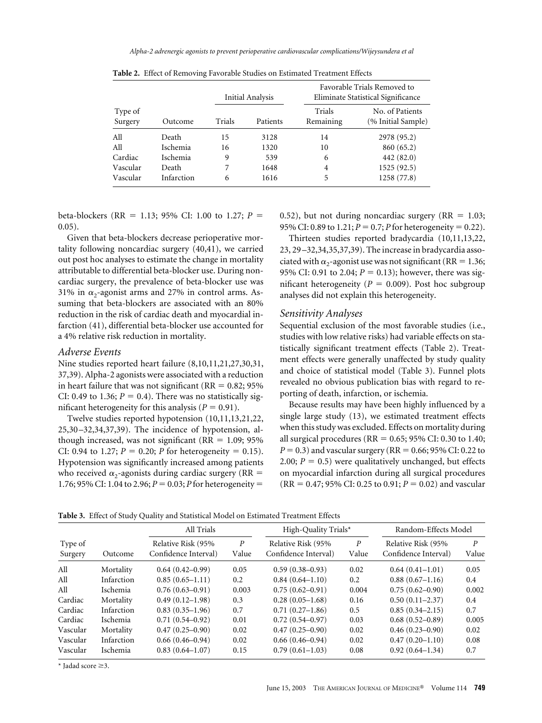|                    |            |        | Initial Analysis |                     | Favorable Trials Removed to<br>Eliminate Statistical Significance |  |  |  |
|--------------------|------------|--------|------------------|---------------------|-------------------------------------------------------------------|--|--|--|
| Type of<br>Surgery | Outcome    | Trials | Patients         | Trials<br>Remaining | No. of Patients<br>(% Initial Sample)                             |  |  |  |
| All                | Death      | 15     | 3128             | 14                  | 2978 (95.2)                                                       |  |  |  |
| All                | Ischemia   | 16     | 1320             | 10                  | 860 (65.2)                                                        |  |  |  |
| Cardiac            | Ischemia   | 9      | 539              | 6                   | 442 (82.0)                                                        |  |  |  |
| Vascular           | Death      |        | 1648             | 4                   | 1525 (92.5)                                                       |  |  |  |
| Vascular           | Infarction | 6      | 1616             | 5                   | 1258 (77.8)                                                       |  |  |  |

**Table 2.** Effect of Removing Favorable Studies on Estimated Treatment Effects

beta-blockers (RR = 1.13; 95% CI: 1.00 to 1.27;  $P =$ 0.05).

Given that beta-blockers decrease perioperative mortality following noncardiac surgery [\(40,41\),](#page-10-0) we carried out post hoc analyses to estimate the change in mortality attributable to differential beta-blocker use. During noncardiac surgery, the prevalence of beta-blocker use was 31% in  $\alpha_2$ -agonist arms and 27% in control arms. Assuming that beta-blockers are associated with an 80% reduction in the risk of cardiac death and myocardial infarction [\(41\),](#page-10-0) differential beta-blocker use accounted for a 4% relative risk reduction in mortality.

#### *Adverse Events*

Nine studies reported heart failure [\(8,10,11,21,27,30,31,](#page-9-0) [37,39\).](#page-9-0) Alpha-2 agonists were associated with a reduction in heart failure that was not significant ( $RR = 0.82$ ; 95%) CI: 0.49 to 1.36;  $P = 0.4$ ). There was no statistically significant heterogeneity for this analysis ( $P = 0.91$ ).

Twelve studies reported hypotension [\(10,11,13,21,22,](#page-9-0) [25,30–32,34,37,39\).](#page-9-0) The incidence of hypotension, although increased, was not significant ( $RR = 1.09$ ; 95% CI: 0.94 to 1.27;  $P = 0.20$ ; *P* for heterogeneity = 0.15). Hypotension was significantly increased among patients who received  $\alpha_2$ -agonists during cardiac surgery (RR = 1.76; 95% CI: 1.04 to 2.96;  $P = 0.03$ ; *P* for heterogeneity =

0.52), but not during noncardiac surgery ( $RR = 1.03$ ; 95% CI: 0.89 to 1.21;  $P = 0.7$ ;  $P$  for heterogeneity  $= 0.22$ ).

Thirteen studies reported bradycardia [\(10,11,13,22,](#page-9-0) [23, 29–32,34,35,37,39\).](#page-9-0) The increase in bradycardia associated with  $\alpha_2$ -agonist use was not significant (RR = 1.36; 95% CI: 0.91 to 2.04;  $P = 0.13$ ); however, there was significant heterogeneity ( $P = 0.009$ ). Post hoc subgroup analyses did not explain this heterogeneity.

#### *Sensitivity Analyses*

Sequential exclusion of the most favorable studies (i.e., studies with low relative risks) had variable effects on statistically significant treatment effects (Table 2). Treatment effects were generally unaffected by study quality and choice of statistical model (Table 3). Funnel plots revealed no obvious publication bias with regard to reporting of death, infarction, or ischemia.

Because results may have been highly influenced by a single large study [\(13\),](#page-9-0) we estimated treatment effects when this study was excluded. Effects on mortality during all surgical procedures ( $RR = 0.65$ ; 95% CI: 0.30 to 1.40;  $P = 0.3$ ) and vascular surgery (RR =  $0.66$ ; 95% CI: 0.22 to 2.00;  $P = 0.5$ ) were qualitatively unchanged, but effects on myocardial infarction during all surgical procedures  $(RR = 0.47; 95\% \text{ CI: } 0.25 \text{ to } 0.91; P = 0.02)$  and vascular

**Table 3.** Effect of Study Quality and Statistical Model on Estimated Treatment Effects

|                    |                 | All Trials                                 |                           | High-Quality Trials*                       |                           | Random-Effects Model                       |            |
|--------------------|-----------------|--------------------------------------------|---------------------------|--------------------------------------------|---------------------------|--------------------------------------------|------------|
| Type of<br>Surgery | Outcome         | Relative Risk (95%<br>Confidence Interval) | $\boldsymbol{P}$<br>Value | Relative Risk (95%<br>Confidence Interval) | $\boldsymbol{P}$<br>Value | Relative Risk (95%<br>Confidence Interval) | P<br>Value |
| All                | Mortality       | $0.64(0.42 - 0.99)$                        | 0.05                      | $0.59(0.38 - 0.93)$                        | 0.02                      | $0.64(0.41-1.01)$                          | 0.05       |
| All                | Infarction      | $0.85(0.65-1.11)$                          | 0.2                       | $0.84(0.64-1.10)$                          | 0.2                       | $0.88(0.67-1.16)$                          | 0.4        |
| All                | <i>Ischemia</i> | $0.76(0.63 - 0.91)$                        | 0.003                     | $0.75(0.62 - 0.91)$                        | 0.004                     | $0.75(0.62 - 0.90)$                        | 0.002      |
| Cardiac            | Mortality       | $0.49(0.12 - 1.98)$                        | 0.3                       | $0.28(0.05-1.68)$                          | 0.16                      | $0.50(0.11-2.37)$                          | 0.4        |
| Cardiac            | Infarction      | $0.83(0.35-1.96)$                          | 0.7                       | $0.71(0.27-1.86)$                          | 0.5                       | $0.85(0.34 - 2.15)$                        | 0.7        |
| Cardiac            | Ischemia        | $0.71(0.54 - 0.92)$                        | 0.01                      | $0.72(0.54 - 0.97)$                        | 0.03                      | $0.68(0.52 - 0.89)$                        | 0.005      |
| Vascular           | Mortality       | $0.47(0.25-0.90)$                          | 0.02                      | $0.47(0.25-0.90)$                          | 0.02                      | $0.46(0.23-0.90)$                          | 0.02       |
| Vascular           | Infarction      | $0.66(0.46-0.94)$                          | 0.02                      | $0.66(0.46 - 0.94)$                        | 0.02                      | $0.47(0.20-1.10)$                          | 0.08       |
| Vascular           | Ischemia        | $0.83(0.64 - 1.07)$                        | 0.15                      | $0.79(0.61 - 1.03)$                        | 0.08                      | $0.92(0.64 - 1.34)$                        | 0.7        |

 $*$  Jadad score  $\geq$ 3.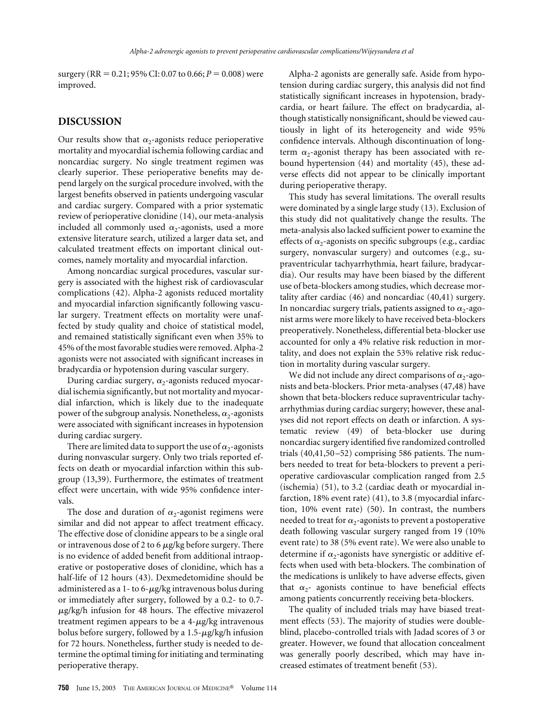surgery (RR =  $0.21$ ; 95% CI: 0.07 to 0.66;  $P = 0.008$ ) were improved.

# **DISCUSSION**

Our results show that  $\alpha_2$ -agonists reduce perioperative mortality and myocardial ischemia following cardiac and noncardiac surgery. No single treatment regimen was clearly superior. These perioperative benefits may depend largely on the surgical procedure involved, with the largest benefits observed in patients undergoing vascular and cardiac surgery. Compared with a prior systematic review of perioperative clonidine [\(14\),](#page-9-0) our meta-analysis included all commonly used  $\alpha_2$ -agonists, used a more extensive literature search, utilized a larger data set, and calculated treatment effects on important clinical outcomes, namely mortality and myocardial infarction.

Among noncardiac surgical procedures, vascular surgery is associated with the highest risk of cardiovascular complications [\(42\).](#page-10-0) Alpha-2 agonists reduced mortality and myocardial infarction significantly following vascular surgery. Treatment effects on mortality were unaffected by study quality and choice of statistical model, and remained statistically significant even when 35% to 45% of the most favorable studies were removed. Alpha-2 agonists were not associated with significant increases in bradycardia or hypotension during vascular surgery.

During cardiac surgery,  $\alpha_2$ -agonists reduced myocardial ischemia significantly, but not mortality and myocardial infarction, which is likely due to the inadequate power of the subgroup analysis. Nonetheless,  $\alpha_2$ -agonists were associated with significant increases in hypotension during cardiac surgery.

There are limited data to support the use of  $\alpha_2$ -agonists during nonvascular surgery. Only two trials reported effects on death or myocardial infarction within this subgroup [\(13,39\).](#page-9-0) Furthermore, the estimates of treatment effect were uncertain, with wide 95% confidence intervals.

The dose and duration of  $\alpha_2$ -agonist regimens were similar and did not appear to affect treatment efficacy. The effective dose of clonidine appears to be a single oral or intravenous dose of 2 to 6  $\mu$ g/kg before surgery. There is no evidence of added benefit from additional intraoperative or postoperative doses of clonidine, which has a half-life of 12 hours [\(43\).](#page-10-0) Dexmedetomidine should be administered as a 1- to 6- $\mu$ g/kg intravenous bolus during or immediately after surgery, followed by a 0.2- to 0.7- -g/kg/h infusion for 48 hours. The effective mivazerol treatment regimen appears to be a 4-µg/kg intravenous bolus before surgery, followed by a 1.5- $\mu$ g/kg/h infusion for 72 hours. Nonetheless, further study is needed to determine the optimal timing for initiating and terminating perioperative therapy.

Alpha-2 agonists are generally safe. Aside from hypotension during cardiac surgery, this analysis did not find statistically significant increases in hypotension, bradycardia, or heart failure. The effect on bradycardia, although statistically nonsignificant, should be viewed cautiously in light of its heterogeneity and wide 95% confidence intervals. Although discontinuation of longterm  $\alpha_2$ -agonist therapy has been associated with rebound hypertension [\(44\)](#page-10-0) and mortality [\(45\),](#page-10-0) these adverse effects did not appear to be clinically important during perioperative therapy.

This study has several limitations. The overall results were dominated by a single large study [\(13\).](#page-9-0) Exclusion of this study did not qualitatively change the results. The meta-analysis also lacked sufficient power to examine the effects of  $\alpha_2$ -agonists on specific subgroups (e.g., cardiac surgery, nonvascular surgery) and outcomes (e.g., supraventricular tachyarrhythmia, heart failure, bradycardia). Our results may have been biased by the different use of beta-blockers among studies, which decrease mortality after cardiac [\(46\)](#page-10-0) and noncardiac [\(40,41\)](#page-10-0) surgery. In noncardiac surgery trials, patients assigned to  $\alpha_2$ -agonist arms were more likely to have received beta-blockers preoperatively. Nonetheless, differential beta-blocker use accounted for only a 4% relative risk reduction in mortality, and does not explain the 53% relative risk reduction in mortality during vascular surgery.

We did not include any direct comparisons of  $\alpha_2$ -agonists and beta-blockers. Prior meta-analyses [\(47,48\)](#page-10-0) have shown that beta-blockers reduce supraventricular tachyarrhythmias during cardiac surgery; however, these analyses did not report effects on death or infarction. A systematic review [\(49\)](#page-10-0) of beta-blocker use during noncardiac surgery identified five randomized controlled trials [\(40,41,50–52\)](#page-10-0) comprising 586 patients. The numbers needed to treat for beta-blockers to prevent a perioperative cardiovascular complication ranged from 2.5 (ischemia) [\(51\),](#page-10-0) to 3.2 (cardiac death or myocardial infarction, 18% event rate) [\(41\),](#page-10-0) to 3.8 (myocardial infarction, 10% event rate) [\(50\).](#page-10-0) In contrast, the numbers needed to treat for  $\alpha_2$ -agonists to prevent a postoperative death following vascular surgery ranged from 19 (10% event rate) to 38 (5% event rate). We were also unable to determine if  $\alpha_2$ -agonists have synergistic or additive effects when used with beta-blockers. The combination of the medications is unlikely to have adverse effects, given that  $\alpha_2$ - agonists continue to have beneficial effects among patients concurrently receiving beta-blockers.

The quality of included trials may have biased treatment effects [\(53\).](#page-10-0) The majority of studies were doubleblind, placebo-controlled trials with Jadad scores of 3 or greater. However, we found that allocation concealment was generally poorly described, which may have increased estimates of treatment benefit [\(53\).](#page-10-0)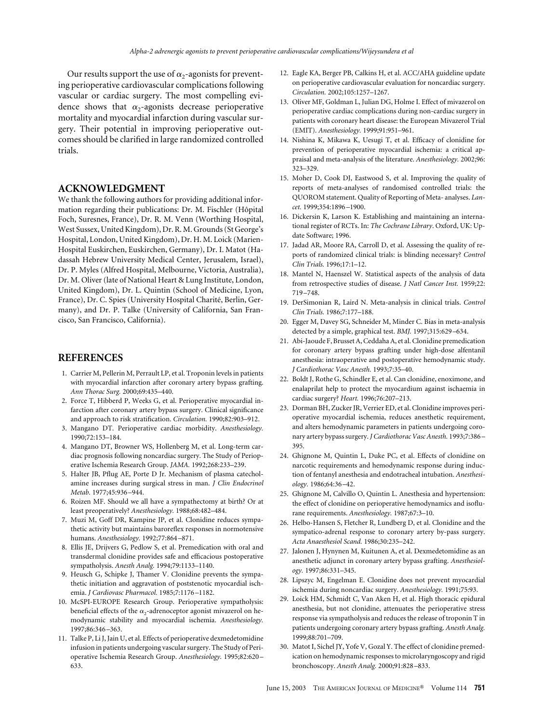<span id="page-9-0"></span>Our results support the use of  $\alpha_2$ -agonists for preventing perioperative cardiovascular complications following vascular or cardiac surgery. The most compelling evidence shows that  $\alpha_2$ -agonists decrease perioperative mortality and myocardial infarction during vascular surgery. Their potential in improving perioperative outcomes should be clarified in large randomized controlled trials.

#### **ACKNOWLEDGMENT**

We thank the following authors for providing additional information regarding their publications: Dr. M. Fischler (Hôpital Foch, Suresnes, France), Dr. R. M. Venn (Worthing Hospital, West Sussex, United Kingdom), Dr. R. M. Grounds (St George's Hospital, London, United Kingdom), Dr. H. M. Loick (Marien-Hospital Euskirchen, Euskirchen, Germany), Dr. I. Matot (Hadassah Hebrew University Medical Center, Jerusalem, Israel), Dr. P. Myles (Alfred Hospital, Melbourne, Victoria, Australia), Dr. M. Oliver (late of National Heart & Lung Institute, London, United Kingdom), Dr. L. Quintin (School of Medicine, Lyon, France), Dr. C. Spies (University Hospital Charité, Berlin, Germany), and Dr. P. Talke (University of California, San Francisco, San Francisco, California).

## **REFERENCES**

- 1. Carrier M, Pellerin M, Perrault LP, et al. Troponin levels in patients with myocardial infarction after coronary artery bypass grafting. *Ann Thorac Surg.* 2000;69:435–440.
- 2. Force T, Hibberd P, Weeks G, et al. Perioperative myocardial infarction after coronary artery bypass surgery. Clinical significance and approach to risk stratification. *Circulation.* 1990;82:903–912.
- 3. Mangano DT. Perioperative cardiac morbidity. *Anesthesiology.* 1990;72:153–184.
- 4. Mangano DT, Browner WS, Hollenberg M, et al. Long-term cardiac prognosis following noncardiac surgery. The Study of Perioperative Ischemia Research Group. *JAMA.* 1992;268:233–239.
- 5. Halter JB, Pflug AE, Porte D Jr. Mechanism of plasma catecholamine increases during surgical stress in man. *J Clin Endocrinol Metab.* 1977;45:936–944.
- 6. Roizen MF. Should we all have a sympathectomy at birth? Or at least preoperatively? *Anesthesiology.* 1988;68:482–484.
- 7. Muzi M, Goff DR, Kampine JP, et al. Clonidine reduces sympathetic activity but maintains baroreflex responses in normotensive humans. *Anesthesiology.* 1992;77:864–871.
- 8. Ellis JE, Drijvers G, Pedlow S, et al. Premedication with oral and transdermal clonidine provides safe and efficacious postoperative sympatholysis. *Anesth Analg.* 1994;79:1133–1140.
- 9. Heusch G, Schipke J, Thamer V. Clonidine prevents the sympathetic initiation and aggravation of poststenotic myocardial ischemia. *J Cardiovasc Pharmacol.* 1985;7:1176–1182.
- 10. McSPI-EUROPE Research Group. Perioperative sympatholysis: beneficial effects of the  $\alpha_2$ -adrenoceptor agonist mivazerol on hemodynamic stability and myocardial ischemia. *Anesthesiology.* 1997;86:346–363.
- 11. Talke P, Li J, Jain U, et al. Effects of perioperative dexmedetomidine infusion in patients undergoing vascular surgery. The Study of Perioperative Ischemia Research Group. *Anesthesiology.* 1995;82:620– 633.
- 12. Eagle KA, Berger PB, Calkins H, et al. ACC/AHA guideline update on perioperative cardiovascular evaluation for noncardiac surgery. *Circulation.* 2002;105:1257–1267.
- 13. Oliver MF, Goldman L, Julian DG, Holme I. Effect of mivazerol on perioperative cardiac complications during non-cardiac surgery in patients with coronary heart disease: the European Mivazerol Trial (EMIT). *Anesthesiology.* 1999;91:951–961.
- 14. Nishina K, Mikawa K, Uesugi T, et al. Efficacy of clonidine for prevention of perioperative myocardial ischemia: a critical appraisal and meta-analysis of the literature. *Anesthesiology.* 2002;96: 323–329.
- 15. Moher D, Cook DJ, Eastwood S, et al. Improving the quality of reports of meta-analyses of randomised controlled trials: the QUOROM statement. Quality of Reporting of Meta- analyses. *Lancet.* 1999;354:1896–1900.
- 16. Dickersin K, Larson K. Establishing and maintaining an international register of RCTs. In: *The Cochrane Library*. Oxford, UK: Update Software; 1996.
- 17. Jadad AR, Moore RA, Carroll D, et al. Assessing the quality of reports of randomized clinical trials: is blinding necessary? *Control Clin Trials.* 1996;17:1–12.
- 18. Mantel N, Haenszel W. Statistical aspects of the analysis of data from retrospective studies of disease. *J Natl Cancer Inst.* 1959;22: 719–748.
- 19. DerSimonian R, Laird N. Meta-analysis in clinical trials. *Control Clin Trials.* 1986;7:177–188.
- 20. Egger M, Davey SG, Schneider M, Minder C. Bias in meta-analysis detected by a simple, graphical test. *BMJ.* 1997;315:629–634.
- 21. Abi-Jaoude F, Brusset A, Ceddaha A, et al. Clonidine premedication for coronary artery bypass grafting under high-dose alfentanil anesthesia: intraoperative and postoperative hemodynamic study. *J Cardiothorac Vasc Anesth.* 1993;7:35–40.
- 22. Boldt J, Rothe G, Schindler E, et al. Can clonidine, enoximone, and enalaprilat help to protect the myocardium against ischaemia in cardiac surgery? *Heart.* 1996;76:207–213.
- 23. Dorman BH, Zucker JR, Verrier ED, et al. Clonidine improves perioperative myocardial ischemia, reduces anesthetic requirement, and alters hemodynamic parameters in patients undergoing coronary artery bypass surgery. *J Cardiothorac Vasc Anesth.* 1993;7:386– 395.
- 24. Ghignone M, Quintin L, Duke PC, et al. Effects of clonidine on narcotic requirements and hemodynamic response during induction of fentanyl anesthesia and endotracheal intubation. *Anesthesiology.* 1986;64:36–42.
- 25. Ghignone M, Calvillo O, Quintin L. Anesthesia and hypertension: the effect of clonidine on perioperative hemodynamics and isoflurane requirements. *Anesthesiology.* 1987;67:3–10.
- 26. Helbo-Hansen S, Fletcher R, Lundberg D, et al. Clonidine and the sympatico-adrenal response to coronary artery by-pass surgery. *Acta Anaesthesiol Scand.* 1986;30:235–242.
- 27. Jalonen J, Hynynen M, Kuitunen A, et al. Dexmedetomidine as an anesthetic adjunct in coronary artery bypass grafting. *Anesthesiology.* 1997;86:331–345.
- 28. Lipszyc M, Engelman E. Clonidine does not prevent myocardial ischemia during noncardiac surgery. *Anesthesiology.* 1991;75:93.
- 29. Loick HM, Schmidt C, Van Aken H, et al. High thoracic epidural anesthesia, but not clonidine, attenuates the perioperative stress response via sympatholysis and reduces the release of troponin T in patients undergoing coronary artery bypass grafting. *Anesth Analg.* 1999;88:701–709.
- 30. Matot I, Sichel JY, Yofe V, Gozal Y. The effect of clonidine premedication on hemodynamic responses to microlaryngoscopy and rigid bronchoscopy. *Anesth Analg.* 2000;91:828–833.